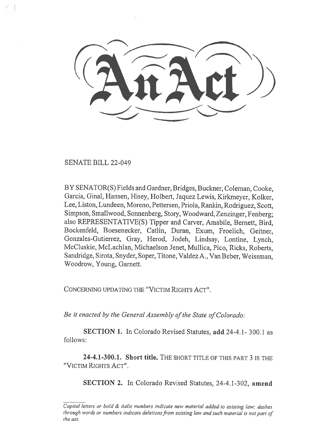SENATE BILL 22-049

BY SENATOR(S) Fields and Gardner, Bridges, Buckner, Coleman, Cooke, Garcia, Ginal, Hansen, Hisey, Holbert, Jaquez Lewis, Kirkmeyer, Kolker, Lee, Liston, Lundeen, Moreno, Pettersen, Priola, Rankin, Rodriguez, Scott, Simpson, Smallwood, Sonnenberg, Story, Woodward, Zenzinger, Fenberg; also REPRESENTATIVE(S) Tipper and Carver, Amabile, Bernett, Bird, Bockenfeld, Boesenecker, Catlin, Duran, Exum, Froelich, Geitner, Gonzales-Gutierrez, Gray, Herod, Jodeh, Lindsay, Lontine, Lynch, McCluskie, McLachlan, Michaelson Jenet, Mullica, Pico, Ricks, Roberts, Sandridge, Sirota, Snyder, Soper, Titone, Valdez A., Van Beber, Weissman, Woodrow, Young, Garnett.

CONCERNING UPDATING THE "VICTIM RIGHTS ACT".

Be it enacted by the General Assembly of the State of Colorado:

SECTION 1. In Colorado Revised Statutes, add 24-4.1- 300.1 as follows:

24-4.1-300.1. Short title. THE SHORT TITLE OF THIS PART 3 IS THE "VICTIM RIGHTS ACT".

SECTION 2. In Colorado Revised Statutes, 24-4.1-302, amend

Capital letters or bold & italic numbers indicate new material added to existing law; dashes through words or numbers indicate deletions from existing law and such material is not part of the act.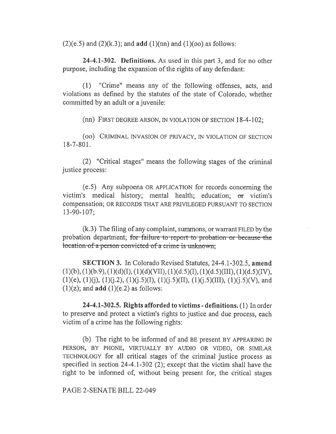$(2)(e.5)$  and  $(2)(k.3)$ ; and **add**  $(1)(nn)$  and  $(1)(oo)$  as follows:

24-4.1-302. Definitions. As used in this part 3, and for no other purpose, including the expansion of the rights of any defendant:

(1) "Crime" means any of the following offenses, acts, and violations as defined by the statutes of the state of Colorado, whether committed by an adult or a juvenile:

(nn) FIRST DEGREE ARSON, IN VIOLATION OF SECTION 18-4-102;

(00) CRIMINAL INVASION OF PRIVACY, IN VIOLATION OF SECTION 18-7-801.

(2) "Critical stages" means the following stages of the criminal justice process:

(e.5) Any subpoena OR APPLICATION for records concerning the victim's medical history; mental health; education; or victim's compensation; OR RECORDS THAT ARE PRIVILEGED PURSUANT TO SECTION 13-90-107;

(k.3) The filing of any complaint, summons, or warrant FILED by the probation department; for failure to report to probation or because the location of a person convicted of a crime is unknown;

SECTION 3. In Colorado Revised Statutes, 24-4.1-302.5, amend  $(1)(b)$ ,  $(1)(b.9)$ ,  $(1)(d)(I)$ ,  $(1)(d)(VII)$ ,  $(1)(d.5)(I)$ ,  $(1)(d.5)(III)$ ,  $(1)(d.5)(IV)$ ,  $(1)(e)$ ,  $(1)(j)$ ,  $(1)(j.2)$ ,  $(1)(j.5)(I)$ ,  $(1)(j.5)(II)$ ,  $(1)(j.5)(III)$ ,  $(1)(j.5)(V)$ , and  $(1)(z)$ ; and **add**  $(1)(e.2)$  as follows:

24-4.1-302.5. Rights afforded to victims - definitions. (1) In order to preserve and protect a victim's rights to justice and due process, each victim of a crime has the following rights:

(b) The right to be informed of and BE present BY APPEARING IN PERSON, BY PHONE, VIRTUALLY BY AUDIO OR VIDEO, OR SIMILAR TECHNOLOGY for all critical stages of the criminal justice process as specified in section 24-4.1-302 (2); except that the victim shall have the right to be informed of, without being present for, the critical stages

PAGE 2-SENATE BILL 22-049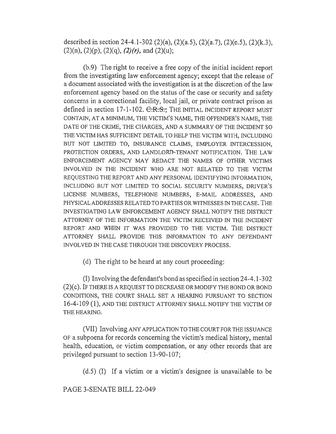described in section 24-4.1-302 (2)(a), (2)(a.5), (2)(a.7), (2)(e.5), (2)(k.3),  $(2)(n)$ ,  $(2)(p)$ ,  $(2)(q)$ ,  $(2)(r)$ , and  $(2)(u)$ ;

(b.9) The right to receive a free copy of the initial incident report from the investigating law enforcement agency; except that the release of a document associated with the investigation is at the discretion of the law enforcement agency based on the status of the case or security and safety concerns in a correctional facility, local jail, or private contract prison as defined in section 17-1-102. C.R.S.; THE INITIAL INCIDENT REPORT MUST CONTAIN, AT A MINIMUM, THE VICTIM'S NAME, THE OFFENDER'S NAME, THE DATE OF THE CRIME, THE CHARGES, AND A SUMMARY OF THE INCIDENT SO THE VICTIM HAS SUFFICIENT DETAIL TO HELP THE VICTIM WITH, INCLUDING BUT NOT LIMITED TO, INSURANCE CLAIMS, EMPLOYER INTERCESSION, PROTECTION ORDERS, AND LANDLORD-TENANT NOTIFICATION. THE LAW ENFORCEMENT AGENCY MAY REDACT THE NAMES OF OTHER VICTIMS INVOLVED IN THE INCIDENT WHO ARE NOT RELATED TO THE VICTIM REQUESTING THE REPORT AND ANY PERSONAL IDENTIFYING INFORMATION, INCLUDING BUT NOT LIMITED TO SOCIAL SECURITY NUMBERS, DRIVER'S LICENSE NUMBERS, TELEPHONE NUMBERS, E-MAIL ADDRESSES, AND PHYSICAL ADDRESSES RELATED TO PARTIES OR WITNESSES IN THE CASE. THE INVESTIGATING LAW ENFORCEMENT AGENCY SHALL NOTIFY THE DISTRICT ATTORNEY OF THE INFORMATION THE VICTIM RECEIVED IN THE INCIDENT REPORT AND WHEN IT WAS PROVIDED TO THE VICTIM. THE DISTRICT ATTORNEY SHALL PROVIDE THIS INFORMATION TO ANY DEFENDANT INVOLVED IN THE CASE THROUGH THE DISCOVERY PROCESS.

(d) The right to be heard at any court proceeding:

(I) Involving the defendant's bond as specified in section 24-4.1-302 (2)(c). IF THERE IS A REQUEST TO DECREASE OR MODIFY THE BOND OR BOND CONDITIONS, THE COURT SHALL SET A HEARING PURSUANT TO SECTION 16-4-109 (1), AND THE DISTRICT ATTORNEY SHALL NOTIFY THE VICTIM OF THE HEARING.

(VII) Involving ANY APPLICATION TO THE COURT FOR THE ISSUANCE OF a subpoena for records concerning the victim's medical history, mental health, education, or victim compensation, or any other records that are privileged pursuant to section 13-90-107;

(d.5) (I) If a victim or a victim's designee is unavailable to be

PAGE 3-SENATE BILL 22-049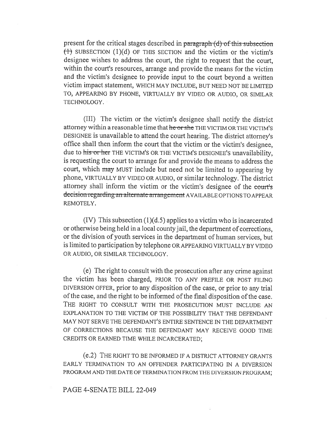present for the critical stages described in paragraph  $(d)$  of this subsection  $(t)$  SUBSECTION (1)(d) OF THIS SECTION and the victim or the victim's designee wishes to address the court, the right to request that the court, within the court's resources, arrange and provide the means for the victim and the victim's designee to provide input to the court beyond a written victim impact statement, WHICH MAY INCLUDE, BUT NEED NOT BE LIMITED TO, APPEARING BY PHONE, VIRTUALLY BY VIDEO OR AUDIO, OR SIMILAR TECHNOLOGY.

(III) The victim or the victim's designee shall notify the district attorney within a reasonable time that he or she THE VICTIM OR THE VICTIM'S DESIGNEE is unavailable to attend the court hearing. The district attorney's office shall then inform the court that the victim or the victim's designee, due to his or her THE VICTIM'S OR THE VICTIM'S DESIGNEE'S unavailability, is requesting the court to arrange for and provide the means to address the court, which may MUST include but need not be limited to appearing by phone, VIRTUALLY BY VIDEO OR AUDIO, or similar technology. The district attorney shall inform the victim or the victim's designee of the court's decision regarding an alternate arrangement AVAILABLE OPTIONS TO APPEAR REMOTELY.

 $(IV)$  This subsection  $(1)(d.5)$  applies to a victim who is incarcerated or otherwise being held in a local county jail, the department of corrections, or the division of youth services in the department of human services, but is limited to participation by telephone OR APPEARING VIRTUALLY BY VIDEO OR AUDIO, OR SIMILAR TECHNOLOGY.

(e) The right to consult with the prosecution after any crime against the victim has been charged, PRIOR TO ANY PREFILE OR POST FILING DIVERSION OFFER, prior to any disposition of the case, or prior to any trial of the case, and the right to be informed of the final disposition of the case. THE RIGHT TO CONSULT WITH THE PROSECUTION MUST INCLUDE AN EXPLANATION TO THE VICTIM OF THE POSSIBILITY THAT THE DEFENDANT MAY NOT SERVE THE DEFENDANT'S ENTIRE SENTENCE IN THE DEPARTMENT OF CORRECTIONS BECAUSE THE DEFENDANT MAY RECEIVE GOOD TIME CREDITS OR EARNED TIME WHILE INCARCERATED;

(e.2) THE RIGHT TO BE INFORMED IF A DISTRICT ATTORNEY GRANTS EARLY TERMINATION TO AN OFFENDER PARTICIPATING IN A DIVERSION PROGRAM AND THE DATE OF TERMINATION FROM THE DIVERSION PROGRAM;

#### PAGE 4-SENATE BILL 22-049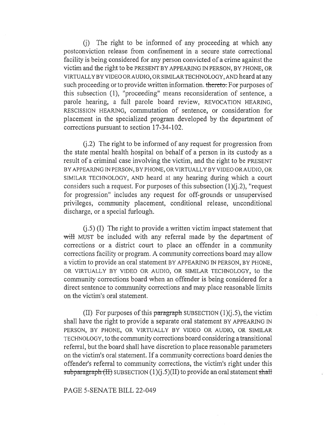(j) The right to be informed of any proceeding at which any postconviction release from confinement in a secure state correctional facility is being considered for any person convicted of a crime against the victim and the right to be PRESENT BY APPEARING IN PERSON, BY PHONE, OR VIRTUALLY BY VIDEO OR AUDIO, OR SIMILAR TECHNOLOGY, AND heard at any such proceeding or to provide written information. thereto: For purposes of this subsection (1), "proceeding" means reconsideration of sentence, a parole hearing, a full parole board review, REVOCATION HEARING, RESCISSION HEARING, commutation of sentence, or consideration for placement in the specialized program developed by the department of corrections pursuant to section 17-34-102.

(j.2) The right to be informed of any request for progression from the state mental health hospital on behalf of a person in its custody as a result of a criminal case involving the victim, and the right to be PRESENT BY APPEARING IN PERSON, BY PHONE, OR VIRTUALLY BY VIDEO OR AUDIO, OR SIMILAR TECHNOLOGY, AND heard at any hearing during which a court considers such a request. For purposes of this subsection  $(1)(i.2)$ , "request for progression" includes any request for off-grounds or unsupervised privileges, community placement, conditional release, unconditional discharge, or a special furlough.

(j.5) (I) The right to provide a written victim impact statement that will MUST be included with any referral made by the department of corrections or a district court to place an offender in a community corrections facility or program. A community corrections board may allow a victim to provide an oral statement BY APPEARING IN PERSON, BY PHONE, OR VIRTUALLY BY VIDEO OR AUDIO, OR SIMILAR TECHNOLOGY, to the community corrections board when an offender is being considered for a direct sentence to community corrections and may place reasonable limits on the victim's oral statement.

(II) For purposes of this paragraph SUBSECTION  $(1)(j.5)$ , the victim shall have the right to provide a separate oral statement BY APPEARING IN PERSON, BY PHONE, OR VIRTUALLY BY VIDEO OR AUDIO, OR SIMILAR TECHNOLOGY, to the community corrections board considering a transitional referral, but the board shall have discretion to place reasonable parameters on the victim's oral statement. If a community corrections board denies the offender's referral to community corrections, the victim's right under this subparagraph (II) SUBSECTION  $(1)(i.5)(II)$  to provide an oral statement shall

#### PAGE 5-SENATE BILL 22-049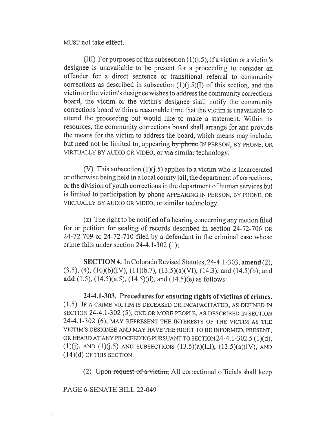MUST not take effect.

(III) For purposes of this subsection  $(1)(i.5)$ , if a victim or a victim's designee is unavailable to be present for a proceeding to consider an offender for a direct sentence or transitional referral to community corrections as described in subsection  $(1)(i.5)(I)$  of this section, and the victim or the victim's designee wishes to address the community corrections board, the victim or the victim's designee shall notify the community corrections board within a reasonable time that the victim is unavailable to attend the proceeding but would like to make a statement. Within its resources, the community corrections board shall arrange for and provide the means for the victim to address the board, which means may include, but need not be limited to, appearing by phone IN PERSON, BY PHONE, OR VIRTUALLY BY AUDIO OR VIDEO, or via similar technology.

(V) This subsection  $(1)(j.5)$  applies to a victim who is incarcerated or otherwise being held in a local county jail, the department of corrections, or the division of youth corrections in the department of human services but is limited to participation by phone APPEARING IN PERSON, BY PHONE, OR VIRTUALLY BY AUDIO OR VIDEO, or similar technology.

(z) The right to be notified of a hearing concerning any motion filed for or petition for sealing of records described in section 24-72-706 OR 24-72-709 or 24-72-710 filed by a defendant in the criminal case whose crime falls under section 24-4.1-302 (1);

SECTION 4. In Colorado Revised Statutes, 24-4.1-303, amend (2),  $(3.5)$ ,  $(4)$ ,  $(10)(b)(IV)$ ,  $(11)(b.7)$ ,  $(13.5)(a)(VI)$ ,  $(14.3)$ , and  $(14.5)(b)$ ; and add  $(1.5)$ ,  $(14.5)(a.5)$ ,  $(14.5)(d)$ , and  $(14.5)(e)$  as follows:

24-4.1-303. Procedures for ensuring rights of victims of crimes. (1.5) IF A CRIME VICTIM IS DECEASED OR INCAPACITATED, AS DEFINED IN SECTION 24-4.1-302 (5), ONE OR MORE PEOPLE, AS DESCRIBED IN SECTION 24-4.1-302 (6), MAY REPRESENT THE INTERESTS OF THE VICTIM AS THE VICTIM'S DESIGNEE AND MAY HAVE THE RIGHT TO BE INFORMED, PRESENT, OR HEARD AT ANY PROCEEDING PURSUANT TO SECTION 24-4.1-302.5 (1)(d),  $(1)(j)$ , AND  $(1)(j.5)$  AND SUBSECTIONS  $(13.5)(a)(III)$ ,  $(13.5)(a)(IV)$ , AND (14)(d) OF THIS SECTION.

(2) Upon request of a victim, All correctional officials shall keep

PAGE 6-SENATE BILL 22-049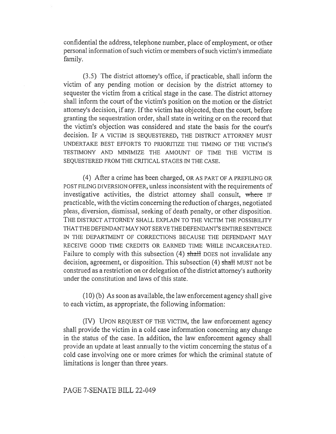confidential the address, telephone number, place of employment, or other personal information of such victim or members of such victim's immediate family.

(3.5) The district attorney's office, if practicable, shall inform the victim of any pending motion or decision by the district attorney to sequester the victim from a critical stage in the case. The district attorney shall inform the court of the victim's position on the motion or the district attorney's decision, if any. If the victim has objected, then the court, before granting the sequestration order, shall state in writing or on the record that the victim's objection was considered and state the basis for the court's decision. IF A VICTIM IS SEQUESTERED, THE DISTRICT ATTORNEY MUST UNDERTAKE BEST EFFORTS TO PRIORITIZE THE TIMING OF THE VICTIM'S TESTIMONY AND MINIMIZE THE AMOUNT OF TIME THE VICTIM IS SEQUESTERED FROM THE CRITICAL STAGES IN THE CASE.

(4) After a crime has been charged, OR AS PART OF A PREFILING OR POST FILING DIVERSION OFFER, unless inconsistent with the requirements of investigative activities, the district attorney shall consult, where IF practicable, with the victim concerning the reduction of charges, negotiated pleas, diversion, dismissal, seeking of death penalty, or other disposition. THE DISTRICT ATTORNEY SHALL EXPLAIN TO THE VICTIM THE POSSIBILITY THAT THE DEFENDANT MAY NOT SERVE THE DEFENDANT'S ENTIRE SENTENCE IN THE DEPARTMENT OF CORRECTIONS BECAUSE THE DEFENDANT MAY RECEIVE GOOD TIME CREDITS OR EARNED TIME WHILE INCARCERATED. Failure to comply with this subsection (4) shall DOES not invalidate any decision, agreement, or disposition. This subsection (4) shall MUST not be construed as a restriction on or delegation of the district attorney's authority under the constitution and laws of this state.

(10) (b) As soon as available, the law enforcement agency shall give to each victim, as appropriate, the following information:

(IV) UPON REQUEST OF THE VICTIM, the law enforcement agency shall provide the victim in a cold case information concerning any change in the status of the case. In addition, the law enforcement agency shall provide an update at least annually to the victim concerning the status of a cold case involving one or more crimes for which the criminal statute of limitations is longer than three years.

## PAGE 7-SENATE BILL 22-049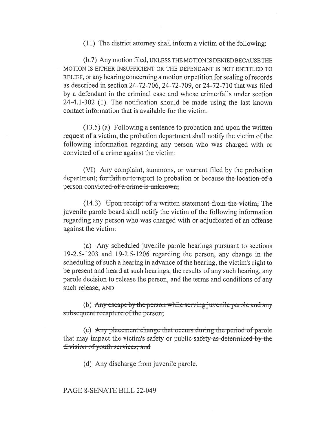## (11) The district attorney shall inform a victim of the following:

(b.7) Any motion filed, UNLESS THE MOTION IS DENIED BECAUSE THE MOTION IS EITHER INSUFFICIENT OR THE DEFENDANT IS NOT ENTITLED TO RELIEF, or any hearing concerning a motion or petition for sealing of records as described in section 24-72-706, 24-72-709, or 24-72-710 that was filed by a defendant in the criminal case and whose crime falls under section 24-4.1-302 (1). The notification should be made using the last known contact information that is available for the victim.

 $(13.5)$  (a) Following a sentence to probation and upon the written request of a victim, the probation department shall notify the victim of the following information regarding any person who was charged with or convicted of a crime against the victim:

(VI) Any complaint, summons, or warrant filed by the probation department; for failure to report to probation or because the location of a person convicted of a crime is unknown;

 $(14.3)$  Upon receipt of a written statement from the victim; The juvenile parole board shall notify the victim of the following information regarding any person who was charged with or adjudicated of an offense against the victim:

(a) Any scheduled juvenile parole hearings pursuant to sections 19-2.5-1203 and 19-2.5-1206 regarding the person, any change in the scheduling of such a hearing in advance of the hearing, the victim's right to be present and heard at such hearings, the results of any such hearing, any parole decision to release the person, and the terms and conditions of any such release; AND

(b) Any escape by the person while serving juvenile parole and any subsequent recapture of the person;

(c) Any placement change that occurs during the period of parole that may impact the victim's safety or public safety as determined by the division of youth services; and

(d) Any discharge from juvenile parole.

# PAGE 8-SENATE BILL 22-049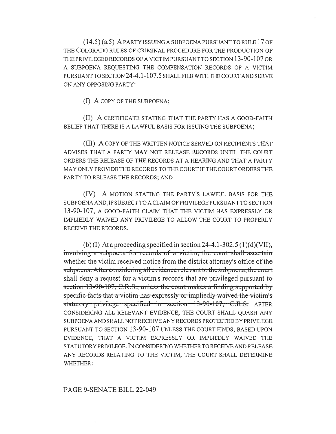(14.5) (a.5) A PARTY ISSUING A SUBPOENA PURSUANT TO RULE 17 OF THE COLORADO RULES OF CRIMINAL PROCEDURE FOR THE PRODUCTION OF THE PRIVILEGED RECORDS OF A VICTIM PURSUANT TO SECTION 13-90-107 OR A SUBPOENA REQUESTING THE COMPENSATION RECORDS OF A VICTIM PURSUANT TO SECTION 24-4.1-107.5 SHALL FILE WITH THE COURT AND SERVE ON ANY OPPOSING PARTY:

(I) A COPY OF THE SUBPOENA;

(II) A CERTIFICATE STATING THAT THE PARTY HAS A GOOD-FAITH BELIEF THAT THERE IS A LAWFUL BASIS FOR ISSUING THE SUBPOENA;

(III) A COPY OF THE WRITTEN NOTICE SERVED ON RECIPIENTS THAT ADVISES THAT A PARTY MAY NOT RELEASE RECORDS UNTIL THE COURT ORDERS THE RELEASE OF THE RECORDS AT A HEARING AND THAT A PARTY MAY ONLY PROVIDE THE RECORDS TO THE COURT IF THE COURT ORDERS THE PARTY TO RELEASE THE RECORDS; AND

(IV) A MOTION STATING THE PARTY'S LAWFUL BASIS FOR THE SUBPOENA AND, IF SUBJECT TO A CLAIM OF PRIVILEGE PURSUANT TO SECTION 13-90-107, A GOOD-FAITH CLAIM THAT THE VICTIM HAS EXPRESSLY OR IMPLIEDLY WAIVED ANY PRIVILEGE TO ALLOW THE COURT TO PROPERLY RECEIVE THE RECORDS.

(b) (I) At a proceeding specified in section 24-4.1-302.5 (1)(d)(VII), involving a subpoena for records of a victim, the court shall ascertain whether the victim received notice from the district attorney's office of the subpoena. After considering all evidence relevant to the subpoena, the court shall deny a rcqucst for a victim's rccords that are privileged pursuant to section  $13-90-107$ , C.R.S., unless the court makes a finding supported by specific facts that a victim has expressly or implicdly waived the victim's statutory privilege specified in section 13-90-107, C.R.S. AFTER CONSIDERING ALL RELEVANT EVIDENCE, THE COURT SHALL QUASH ANY SUBPOENA AND SHALL NOT RECEIVE ANY RECORDS PROTECTED BY PRIVILEGE PURSUANT TO SECTION 13-90-107 UNLESS THE COURT FINDS, BASED UPON EVIDENCE, THAT A VICTIM EXPRESSLY OR IMPLIEDLY WAIVED THE STATUTORY PRIVILEGE. IN CONSIDERING WHETHER TO RECEIVE AND RELEASE ANY RECORDS RELATING TO THE VICTIM, THE COURT SHALL DETERMINE WHETHER:

# PAGE 9-SENATE BILL 22-049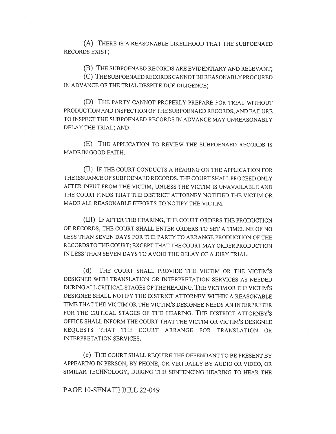(A) THERE IS A REASONABLE LIKELIHOOD THAT THE SUBPOENAED RECORDS EXIST;

(B) THE SUBPOENAED RECORDS ARE EVIDENTIARY AND RELEVANT;

(C) THE SUBPOENAED RECORDS CANNOT BE REASONABLY PROCURED IN ADVANCE OF THE TRIAL DESPITE DUE DILIGENCE;

(D) THE PARTY CANNOT PROPERLY PREPARE FOR TRIAL WITHOUT PRODUCTION AND INSPECTION OF THE SUBPOENAED RECORDS, AND FAILURE TO INSPECT THE SUBPOENAED RECORDS IN ADVANCE MAY UNREASONABLY DELAY THE TRIAL; AND

(E) THE APPLICATION TO REVIEW THE SUBPOENAED RECORDS IS MADE IN GOOD FAITH.

(II) IF THE COURT CONDUCTS A HEARING ON THE APPLICATION FOR THE ISSUANCE OF SUBPOENAED RECORDS, THE COURT SHALL PROCEED ONLY AFTER INPUT FROM THE VICTIM, UNLESS THE VICTIM IS UNAVAILABLE AND THE COURT FINDS THAT THE DISTRICT ATTORNEY NOTIFIED THE VICTIM OR MADE ALL REASONABLE EFFORTS TO NOTIFY THE VICTIM.

(III) IF AFTER THE HEARING, THE COURT ORDERS THE PRODUCTION OF RECORDS, THE COURT SHALL ENTER ORDERS TO SET A TIMELINE OF NO LESS THAN SEVEN DAYS FOR THE PARTY TO ARRANGE PRODUCTION OF THE RECORDS TO THE COURT; EXCEPT THAT THE COURT MAY ORDER PRODUCTION IN LESS THAN SEVEN DAYS TO AVOID THE DELAY OF A JURY TRIAL.

(d) THE COURT SHALL PROVIDE THE VICTIM OR THE VICTIM'S DESIGNEE WITH TRANSLATION OR INTERPRETATION SERVICES AS NEEDED DURING ALL CRITICAL STAGES OF THE HEARING. THE VICTIM OR THE VICTIM'S DESIGNEE SHALL NOTIFY THE DISTRICT ATTORNEY WITHIN A REASONABLE TIME THAT THE VICTIM OR THE VICTIM'S DESIGNEE NEEDS AN INTERPRETER FOR THE CRITICAL STAGES OF THE HEARING. THE DISTRICT ATTORNEY'S OFFICE SHALL INFORM THE COURT THAT THE VICTIM OR VICTIM'S DESIGNEE REQUESTS THAT THE COURT ARRANGE FOR TRANSLATION OR INTERPRETATION SERVICES.

(e) THE COURT SHALL REQUIRE THE DEFENDANT TO BE PRESENT BY APPEARING IN PERSON, BY PHONE, OR VIRTUALLY BY AUDIO OR VIDEO, OR SIMILAR TECHNOLOGY, DURING THE SENTENCING HEARING TO HEAR THE

PAGE 10-SENATE BILL 22-049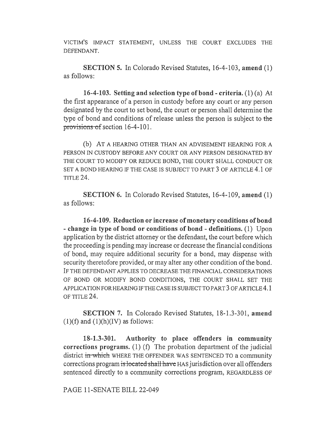VICTIM'S IMPACT STATEMENT, UNLESS THE COURT EXCLUDES THE DEFENDANT.

SECTION 5. In Colorado Revised Statutes, 16-4-103, amend (1) as follows:

16-4-103. Setting and selection type of bond - criteria. (1) (a) At the first appearance of a person in custody before any court or any person designated by the court to set bond, the court or person shall determine the type of bond and conditions of release unless the person is subject to the provisions of section 16-4-101.

(b) AT A HEARING OTHER THAN AN ADVISEMENT HEARING FOR A PERSON IN CUSTODY BEFORE ANY COURT OR ANY PERSON DESIGNATED BY THE COURT TO MODIFY OR REDUCE BOND, THE COURT SHALL CONDUCT OR SET A BOND HEARING IF THE CASE IS SUBJECT TO PART 3 OF ARTICLE 4.1 OF TITLE 24.

SECTION 6. In Colorado Revised Statutes, 16-4-109, amend (1) as follows:

16-4-109. Reduction or increase of monetary conditions of bond - change in type of bond or conditions of bond - definitions. (1) Upon application by the district attorney or the defendant, the court before which the proceeding is pending may increase or decrease the financial conditions of bond, may require additional security for a bond, may dispense with security theretofore provided, or may alter any other condition of the bond. IF THE DEFENDANT APPLIES TO DECREASE THE FINANCIAL CONSIDERATIONS OF BOND OR MODIFY BOND CONDITIONS, THE COURT SHALL SET THE APPLICATION FOR HEARING IF THE CASE IS SUBJECT TO PART 3 OF ARTICLE 4.1 OF TITLE 24.

SECTION 7. In Colorado Revised Statutes, 18-1.3-301, amend  $(1)(f)$  and  $(1)(h)(IV)$  as follows:

18-1.3-301. Authority to place offenders in community corrections programs. (1) (f) The probation department of the judicial district in-which WHERE THE OFFENDER WAS SENTENCED TO a community corrections program is located shall have HAS jurisdiction over all offenders sentenced directly to a community corrections program, REGARDLESS OF

PAGE 11-SENATE BILL 22-049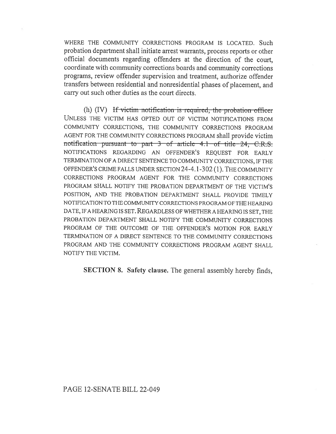WHERE THE COMMUNITY CORRECTIONS PROGRAM IS LOCATED. Such probation department shall initiate arrest warrants, process reports or other official documents regarding offenders at the direction of the court, coordinate with community corrections boards and community corrections programs, review offender supervision and treatment, authorize offender transfers between residential and nonresidential phases of placement, and carry out such other duties as the court directs.

(h)  $(IV)$  If victim notification is required, the probation officer UNLESS THE VICTIM HAS OPTED OUT OF VICTIM NOTIFICATIONS FROM COMMUNITY CORRECTIONS, THE COMMUNITY CORRECTIONS PROGRAM AGENT FOR THE COMMUNITY CORRECTIONS PROGRAM shall provide victim notification pursuant to part 3 of article 4.1 of title 24, C.R.S. NOTIFICATIONS REGARDING AN OFFENDER'S REQUEST FOR EARLY TERMINATION OF A DIRECT SENTENCE TO COMMUNITY CORRECTIONS, IF THE OFFENDER'S CRIME FALLS UNDER SECTION 24-4.1-302 (1). THE COMMUNITY CORRECTIONS PROGRAM AGENT FOR THE COMMUNITY CORRECTIONS PROGRAM SHALL NOTIFY THE PROBATION DEPARTMENT OF THE VICTIM'S POSITION, AND THE PROBATION DEPARTMENT SHALL PROVIDE TIMELY NOTIFICATION TO THE COMMUNITY CORRECTIONS PROGRAM OF THE HEARING DATE, IF A HEARING IS SET. REGARDLESS OF WHETHER A HEARING IS SET, THE PROBATION DEPARTMENT SHALL NOTIFY THE COMMUNITY CORRECTIONS PROGRAM OF THE OUTCOME OF THE OFFENDER'S MOTION FOR EARLY TERMINATION OF A DIRECT SENTENCE TO THE COMMUNITY CORRECTIONS PROGRAM AND THE COMMUNITY CORRECTIONS PROGRAM AGENT SHALL NOTIFY THE VICTIM.

SECTION 8. Safety clause. The general assembly hereby finds,